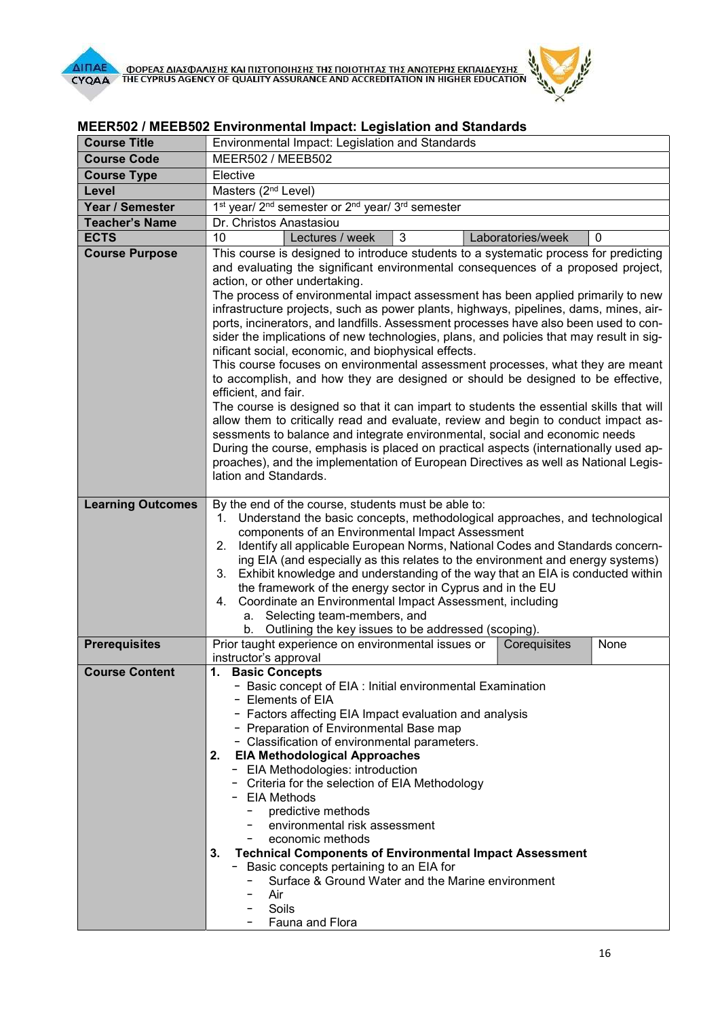

| <b>Course Title</b>      | Environmental Impact: Legislation and Standards                                                                                                                                                                                                                                                                                                                                                                                                                                                                                                                                                                                                                                                                                                                                                                                                                                                                                                                                                                                                                                                                                                                                                                                                                                                       |
|--------------------------|-------------------------------------------------------------------------------------------------------------------------------------------------------------------------------------------------------------------------------------------------------------------------------------------------------------------------------------------------------------------------------------------------------------------------------------------------------------------------------------------------------------------------------------------------------------------------------------------------------------------------------------------------------------------------------------------------------------------------------------------------------------------------------------------------------------------------------------------------------------------------------------------------------------------------------------------------------------------------------------------------------------------------------------------------------------------------------------------------------------------------------------------------------------------------------------------------------------------------------------------------------------------------------------------------------|
| <b>Course Code</b>       | MEER502 / MEEB502                                                                                                                                                                                                                                                                                                                                                                                                                                                                                                                                                                                                                                                                                                                                                                                                                                                                                                                                                                                                                                                                                                                                                                                                                                                                                     |
| <b>Course Type</b>       | Elective                                                                                                                                                                                                                                                                                                                                                                                                                                                                                                                                                                                                                                                                                                                                                                                                                                                                                                                                                                                                                                                                                                                                                                                                                                                                                              |
| Level                    | Masters (2 <sup>nd</sup> Level)                                                                                                                                                                                                                                                                                                                                                                                                                                                                                                                                                                                                                                                                                                                                                                                                                                                                                                                                                                                                                                                                                                                                                                                                                                                                       |
| Year / Semester          | 1 <sup>st</sup> year/ 2 <sup>nd</sup> semester or 2 <sup>nd</sup> year/ 3 <sup>rd</sup> semester                                                                                                                                                                                                                                                                                                                                                                                                                                                                                                                                                                                                                                                                                                                                                                                                                                                                                                                                                                                                                                                                                                                                                                                                      |
| <b>Teacher's Name</b>    | Dr. Christos Anastasiou                                                                                                                                                                                                                                                                                                                                                                                                                                                                                                                                                                                                                                                                                                                                                                                                                                                                                                                                                                                                                                                                                                                                                                                                                                                                               |
| <b>ECTS</b>              | 10<br>3<br>Lectures / week<br>Laboratories/week<br>0                                                                                                                                                                                                                                                                                                                                                                                                                                                                                                                                                                                                                                                                                                                                                                                                                                                                                                                                                                                                                                                                                                                                                                                                                                                  |
| <b>Course Purpose</b>    | This course is designed to introduce students to a systematic process for predicting<br>and evaluating the significant environmental consequences of a proposed project,<br>action, or other undertaking.<br>The process of environmental impact assessment has been applied primarily to new<br>infrastructure projects, such as power plants, highways, pipelines, dams, mines, air-<br>ports, incinerators, and landfills. Assessment processes have also been used to con-<br>sider the implications of new technologies, plans, and policies that may result in sig-<br>nificant social, economic, and biophysical effects.<br>This course focuses on environmental assessment processes, what they are meant<br>to accomplish, and how they are designed or should be designed to be effective,<br>efficient, and fair.<br>The course is designed so that it can impart to students the essential skills that will<br>allow them to critically read and evaluate, review and begin to conduct impact as-<br>sessments to balance and integrate environmental, social and economic needs<br>During the course, emphasis is placed on practical aspects (internationally used ap-<br>proaches), and the implementation of European Directives as well as National Legis-<br>lation and Standards. |
| <b>Learning Outcomes</b> | By the end of the course, students must be able to:<br>Understand the basic concepts, methodological approaches, and technological<br>1.<br>components of an Environmental Impact Assessment<br>Identify all applicable European Norms, National Codes and Standards concern-<br>2.<br>ing EIA (and especially as this relates to the environment and energy systems)<br>3. Exhibit knowledge and understanding of the way that an EIA is conducted within<br>the framework of the energy sector in Cyprus and in the EU<br>Coordinate an Environmental Impact Assessment, including<br>4.<br>a. Selecting team-members, and<br>Outlining the key issues to be addressed (scoping).<br>b.                                                                                                                                                                                                                                                                                                                                                                                                                                                                                                                                                                                                             |
| <b>Prerequisites</b>     | Prior taught experience on environmental issues or<br>Corequisites<br>None<br>instructor's approval                                                                                                                                                                                                                                                                                                                                                                                                                                                                                                                                                                                                                                                                                                                                                                                                                                                                                                                                                                                                                                                                                                                                                                                                   |
| <b>Course Content</b>    | 1. Basic Concepts<br>- Basic concept of EIA : Initial environmental Examination<br>- Elements of EIA<br>- Factors affecting EIA Impact evaluation and analysis<br>- Preparation of Environmental Base map<br>- Classification of environmental parameters.<br><b>EIA Methodological Approaches</b><br>2.<br>- EIA Methodologies: introduction<br>- Criteria for the selection of EIA Methodology<br>- EIA Methods<br>predictive methods<br>environmental risk assessment<br>economic methods<br><b>Technical Components of Environmental Impact Assessment</b><br>3.<br>Basic concepts pertaining to an EIA for<br>$-$<br>Surface & Ground Water and the Marine environment<br>Air<br>Soils<br>Fauna and Flora                                                                                                                                                                                                                                                                                                                                                                                                                                                                                                                                                                                        |

## MEER502 / MEEΒ502 Environmental Impact: Legislation and Standards